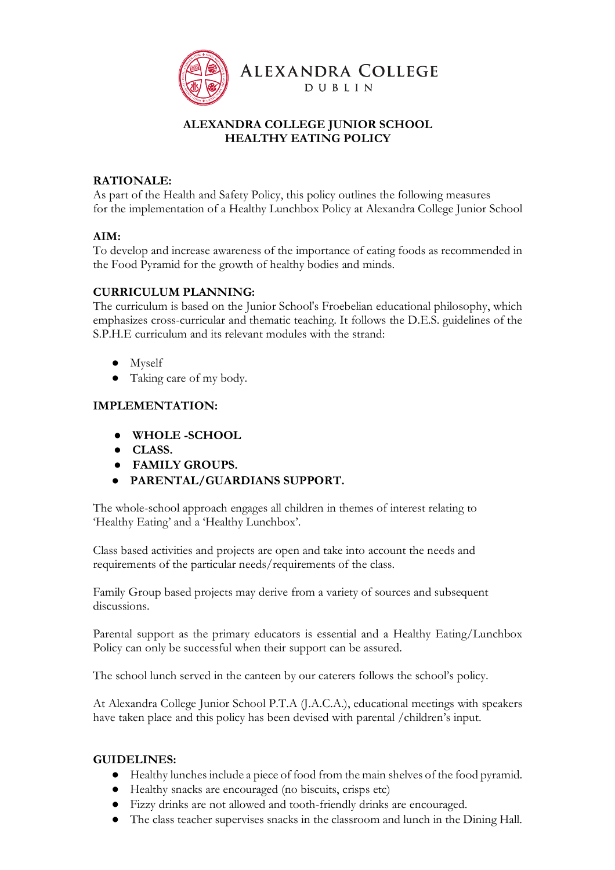

# **ALEXANDRA COLLEGE JUNIOR SCHOOL HEALTHY EATING POLICY**

# **RATIONALE:**

As part of the Health and Safety Policy, this policy outlines the following measures for the implementation of a Healthy Lunchbox Policy at Alexandra College Junior School

### **AIM:**

To develop and increase awareness of the importance of eating foods as recommended in the Food Pyramid for the growth of healthy bodies and minds.

## **CURRICULUM PLANNING:**

The curriculum is based on the Junior School's Froebelian educational philosophy, which emphasizes cross-curricular and thematic teaching. It follows the D.E.S. guidelines of the S.P.H.E curriculum and its relevant modules with the strand:

- Myself
- Taking care of my body.

### **IMPLEMENTATION:**

- **WHOLE -SCHOOL**
- **CLASS.**
- **FAMILY GROUPS.**
- **PARENTAL/GUARDIANS SUPPORT.**

The whole-school approach engages all children in themes of interest relating to 'Healthy Eating' and a 'Healthy Lunchbox'.

Class based activities and projects are open and take into account the needs and requirements of the particular needs/requirements of the class.

Family Group based projects may derive from a variety of sources and subsequent discussions.

Parental support as the primary educators is essential and a Healthy Eating/Lunchbox Policy can only be successful when their support can be assured.

The school lunch served in the canteen by our caterers follows the school's policy.

At Alexandra College Junior School P.T.A (J.A.C.A.), educational meetings with speakers have taken place and this policy has been devised with parental /children's input.

#### **GUIDELINES:**

- Healthy lunches include a piece of food from the main shelves of the food pyramid.
- Healthy snacks are encouraged (no biscuits, crisps etc)
- Fizzy drinks are not allowed and tooth-friendly drinks are encouraged.
- The class teacher supervises snacks in the classroom and lunch in the Dining Hall.